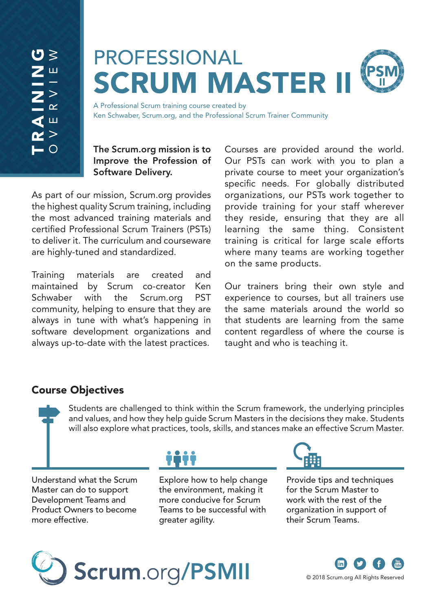# PROFESSIONAL **SCRUM MASTER**

A Professional Scrum training course created by Ken Schwaber, Scrum.org, and the Professional Scrum Trainer Community

### The Scrum.org mission is to Improve the Profession of Software Delivery.

As part of our mission, Scrum.org provides the highest quality Scrum training, including the most advanced training materials and certified Professional Scrum Trainers (PSTs) to deliver it. The curriculum and courseware are highly-tuned and standardized.

Training materials are created and maintained by Scrum co-creator Ken Schwaber with the Scrum.org PST community, helping to ensure that they are always in tune with what's happening in software development organizations and always up-to-date with the latest practices.

Courses are provided around the world. Our PSTs can work with you to plan a private course to meet your organization's specific needs. For globally distributed organizations, our PSTs work together to provide training for your staff wherever they reside, ensuring that they are all learning the same thing. Consistent training is critical for large scale efforts where many teams are working together on the same products.

Our trainers bring their own style and experience to courses, but all trainers use the same materials around the world so that students are learning from the same content regardless of where the course is taught and who is teaching it.

# Course Objectives

Students are challenged to think within the Scrum framework, the underlying principles and values, and how they help guide Scrum Masters in the decisions they make. Students will also explore what practices, tools, skills, and stances make an effective Scrum Master.

Understand what the Scrum Master can do to support Development Teams and Product Owners to become more effective.

Explore how to help change the environment, making it more conducive for Scrum Teams to be successful with greater agility.



Provide tips and techniques for the Scrum Master to work with the rest of the organization in support of their Scrum Teams.